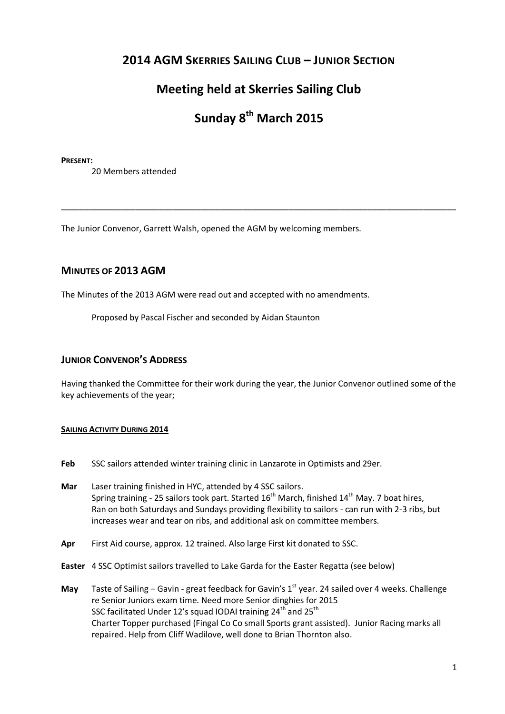## **2014 AGM SKERRIES SAILING CLUB – JUNIOR SECTION**

# **Meeting held at Skerries Sailing Club**

# **Sunday 8th March 2015**

\_\_\_\_\_\_\_\_\_\_\_\_\_\_\_\_\_\_\_\_\_\_\_\_\_\_\_\_\_\_\_\_\_\_\_\_\_\_\_\_\_\_\_\_\_\_\_\_\_\_\_\_\_\_\_\_\_\_\_\_\_\_\_\_\_\_\_\_\_\_\_\_\_\_\_\_\_\_\_\_\_\_\_\_\_

#### **PRESENT:**

20 Members attended

The Junior Convenor, Garrett Walsh, opened the AGM by welcoming members.

## **MINUTES OF 2013 AGM**

The Minutes of the 2013 AGM were read out and accepted with no amendments.

Proposed by Pascal Fischer and seconded by Aidan Staunton

## **JUNIOR CONVENOR'S ADDRESS**

Having thanked the Committee for their work during the year, the Junior Convenor outlined some of the key achievements of the year;

#### **SAILING ACTIVITY DURING 2014**

- **Feb** SSC sailors attended winter training clinic in Lanzarote in Optimists and 29er.
- **Mar** Laser training finished in HYC, attended by 4 SSC sailors. Spring training - 25 sailors took part. Started  $16<sup>th</sup>$  March, finished  $14<sup>th</sup>$  May. 7 boat hires, Ran on both Saturdays and Sundays providing flexibility to sailors - can run with 2-3 ribs, but increases wear and tear on ribs, and additional ask on committee members.
- **Apr** First Aid course, approx. 12 trained. Also large First kit donated to SSC.
- **Easter** 4 SSC Optimist sailors travelled to Lake Garda for the Easter Regatta (see below)
- **May** Taste of Sailing Gavin great feedback for Gavin's 1<sup>st</sup> year. 24 sailed over 4 weeks. Challenge re Senior Juniors exam time. Need more Senior dinghies for 2015 SSC facilitated Under 12's squad IODAI training  $24<sup>th</sup>$  and  $25<sup>th</sup>$ Charter Topper purchased (Fingal Co Co small Sports grant assisted). Junior Racing marks all repaired. Help from Cliff Wadilove, well done to Brian Thornton also.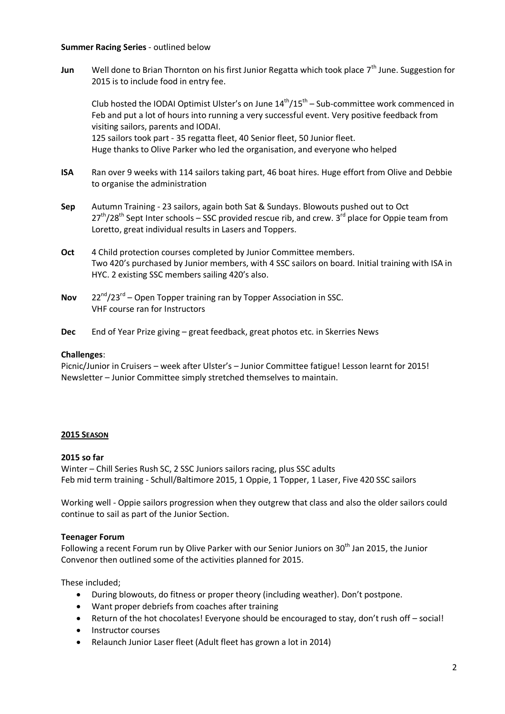#### **Summer Racing Series** - outlined below

**Jun** Well done to Brian Thornton on his first Junior Regatta which took place 7<sup>th</sup> June. Suggestion for 2015 is to include food in entry fee.

Club hosted the IODAI Optimist Ulster's on June  $14^{th}/15^{th}$  – Sub-committee work commenced in Feb and put a lot of hours into running a very successful event. Very positive feedback from visiting sailors, parents and IODAI. 125 sailors took part - 35 regatta fleet, 40 Senior fleet, 50 Junior fleet. Huge thanks to Olive Parker who led the organisation, and everyone who helped

- **ISA** Ran over 9 weeks with 114 sailors taking part, 46 boat hires. Huge effort from Olive and Debbie to organise the administration
- **Sep** Autumn Training 23 sailors, again both Sat & Sundays. Blowouts pushed out to Oct  $27<sup>th</sup>/28<sup>th</sup>$  Sept Inter schools – SSC provided rescue rib, and crew. 3<sup>rd</sup> place for Oppie team from Loretto, great individual results in Lasers and Toppers.
- **Oct** 4 Child protection courses completed by Junior Committee members. Two 420's purchased by Junior members, with 4 SSC sailors on board. Initial training with ISA in HYC. 2 existing SSC members sailing 420's also.
- Nov 22<sup>nd</sup>/23<sup>rd</sup> Open Topper training ran by Topper Association in SSC. VHF course ran for Instructors
- **Dec** End of Year Prize giving great feedback, great photos etc. in Skerries News

#### **Challenges**:

Picnic/Junior in Cruisers – week after Ulster's – Junior Committee fatigue! Lesson learnt for 2015! Newsletter – Junior Committee simply stretched themselves to maintain.

#### **2015 SEASON**

#### **2015 so far**

Winter – Chill Series Rush SC, 2 SSC Juniors sailors racing, plus SSC adults Feb mid term training - Schull/Baltimore 2015, 1 Oppie, 1 Topper, 1 Laser, Five 420 SSC sailors

Working well - Oppie sailors progression when they outgrew that class and also the older sailors could continue to sail as part of the Junior Section.

#### **Teenager Forum**

Following a recent Forum run by Olive Parker with our Senior Juniors on 30<sup>th</sup> Jan 2015, the Junior Convenor then outlined some of the activities planned for 2015.

These included;

- During blowouts, do fitness or proper theory (including weather). Don't postpone.
- Want proper debriefs from coaches after training
- Return of the hot chocolates! Everyone should be encouraged to stay, don't rush off social!
- Instructor courses
- Relaunch Junior Laser fleet (Adult fleet has grown a lot in 2014)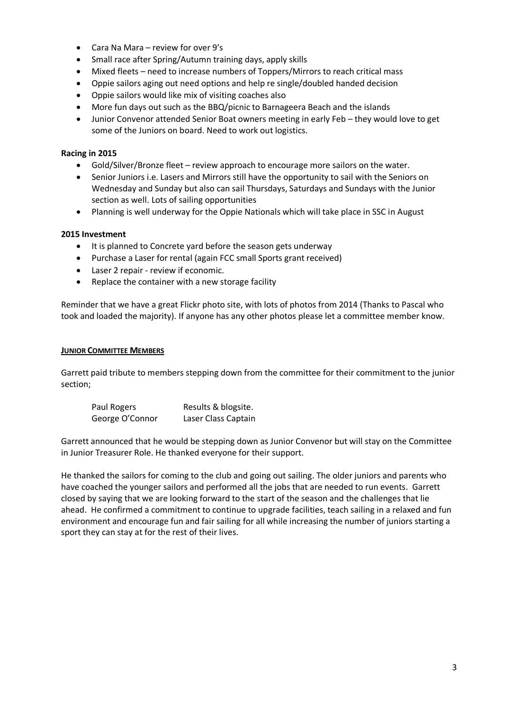- Cara Na Mara review for over 9's
- Small race after Spring/Autumn training days, apply skills
- Mixed fleets need to increase numbers of Toppers/Mirrors to reach critical mass
- Oppie sailors aging out need options and help re single/doubled handed decision
- Oppie sailors would like mix of visiting coaches also
- More fun days out such as the BBQ/picnic to Barnageera Beach and the islands
- Junior Convenor attended Senior Boat owners meeting in early Feb they would love to get some of the Juniors on board. Need to work out logistics.

#### **Racing in 2015**

- Gold/Silver/Bronze fleet review approach to encourage more sailors on the water.
- Senior Juniors i.e. Lasers and Mirrors still have the opportunity to sail with the Seniors on Wednesday and Sunday but also can sail Thursdays, Saturdays and Sundays with the Junior section as well. Lots of sailing opportunities
- Planning is well underway for the Oppie Nationals which will take place in SSC in August

#### **2015 Investment**

- It is planned to Concrete yard before the season gets underway
- Purchase a Laser for rental (again FCC small Sports grant received)
- Laser 2 repair review if economic.
- Replace the container with a new storage facility

Reminder that we have a great Flickr photo site, with lots of photos from 2014 (Thanks to Pascal who took and loaded the majority). If anyone has any other photos please let a committee member know.

#### **JUNIOR COMMITTEE MEMBERS**

Garrett paid tribute to members stepping down from the committee for their commitment to the junior section;

| Paul Rogers     | Results & blogsite. |
|-----------------|---------------------|
| George O'Connor | Laser Class Captain |

Garrett announced that he would be stepping down as Junior Convenor but will stay on the Committee in Junior Treasurer Role. He thanked everyone for their support.

He thanked the sailors for coming to the club and going out sailing. The older juniors and parents who have coached the younger sailors and performed all the jobs that are needed to run events. Garrett closed by saying that we are looking forward to the start of the season and the challenges that lie ahead. He confirmed a commitment to continue to upgrade facilities, teach sailing in a relaxed and fun environment and encourage fun and fair sailing for all while increasing the number of juniors starting a sport they can stay at for the rest of their lives.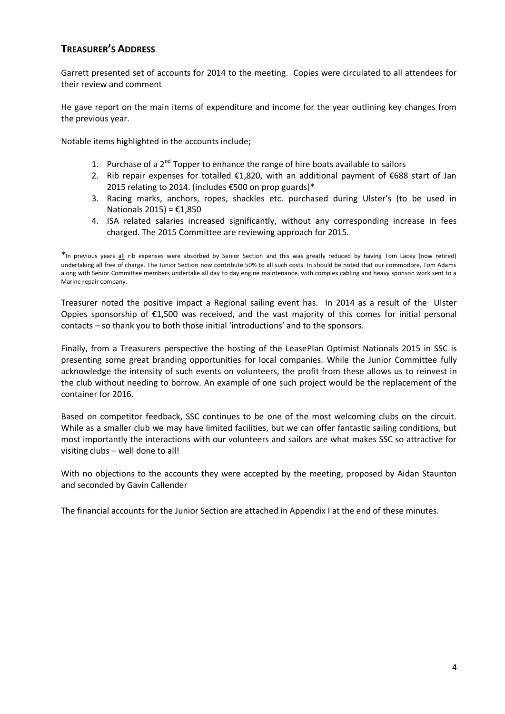## **TREASURER'S ADDRESS**

Garrett presented set of accounts for 2014 to the meeting. Copies were circulated to all attendees for their review and comment

He gave report on the main items of expenditure and income for the year outlining key changes from the previous year.

Notable items highlighted in the accounts include;

- 1. Purchase of a  $2^{nd}$  Topper to enhance the range of hire boats available to sailors
- 2. Rib repair expenses for totalled €1,820, with an additional payment of €688 start of Jan 2015 relating to 2014. (includes €500 on prop guards)\*
- 3. Racing marks, anchors, ropes, shackles etc. purchased during Ulster's (to be used in Nationals 2015) = €1,850
- 4. ISA related salaries increased significantly, without any corresponding increase in fees charged. The 2015 Committee are reviewing approach for 2015.

Treasurer noted the positive impact a Regional sailing event has. In 2014 as a result of the Ulster Oppies sponsorship of  $E1,500$  was received, and the vast majority of this comes for initial personal contacts – so thank you to both those initial 'introductions' and to the sponsors.

Finally, from a Treasurers perspective the hosting of the LeasePlan Optimist Nationals 2015 in SSC is presenting some great branding opportunities for local companies. While the Junior Committee fully acknowledge the intensity of such events on volunteers, the profit from these allows us to reinvest in the club without needing to borrow. An example of one such project would be the replacement of the container for 2016.

Based on competitor feedback, SSC continues to be one of the most welcoming clubs on the circuit. While as a smaller club we may have limited facilities, but we can offer fantastic sailing conditions, but most importantly the interactions with our volunteers and sailors are what makes SSC so attractive for visiting clubs – well done to all!

With no objections to the accounts they were accepted by the meeting, proposed by Aidan Staunton and seconded by Gavin Callender

The financial accounts for the Junior Section are attached in Appendix I at the end of these minutes.

<sup>\*</sup>In previous years all rib expenses were absorbed by Senior Section and this was greatly reduced by having Tom Lacey (now retired) undertaking all free of charge. The Junior Section now contribute 50% to all such costs. In should be noted that our commodore, Tom Adams along with Senior Committee members undertake all day to day engine maintenance, with complex cabling and heavy sponson work sent to a Marine repair company.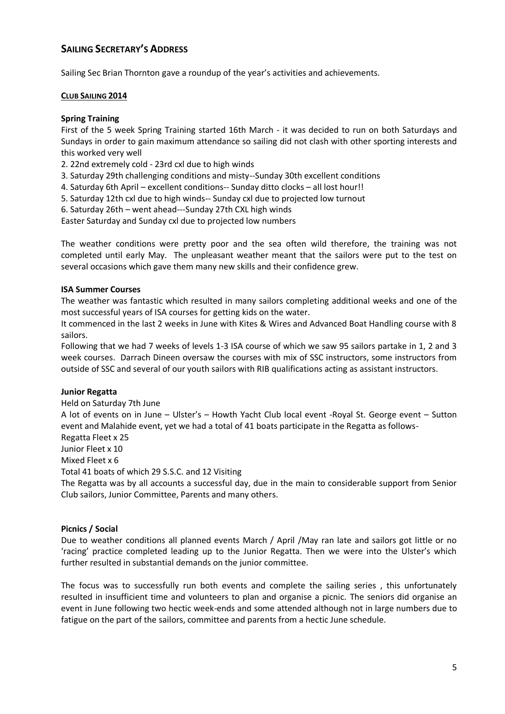## **SAILING SECRETARY'S ADDRESS**

Sailing Sec Brian Thornton gave a roundup of the year's activities and achievements.

#### **CLUB SAILING 2014**

#### **Spring Training**

First of the 5 week Spring Training started 16th March - it was decided to run on both Saturdays and Sundays in order to gain maximum attendance so sailing did not clash with other sporting interests and this worked very well

- 2. 22nd extremely cold 23rd cxl due to high winds
- 3. Saturday 29th challenging conditions and misty--Sunday 30th excellent conditions
- 4. Saturday 6th April excellent conditions-- Sunday ditto clocks all lost hour!!
- 5. Saturday 12th cxl due to high winds-- Sunday cxl due to projected low turnout
- 6. Saturday 26th went ahead---Sunday 27th CXL high winds

Easter Saturday and Sunday cxl due to projected low numbers

The weather conditions were pretty poor and the sea often wild therefore, the training was not completed until early May. The unpleasant weather meant that the sailors were put to the test on several occasions which gave them many new skills and their confidence grew.

#### **ISA Summer Courses**

The weather was fantastic which resulted in many sailors completing additional weeks and one of the most successful years of ISA courses for getting kids on the water.

It commenced in the last 2 weeks in June with Kites & Wires and Advanced Boat Handling course with 8 sailors.

Following that we had 7 weeks of levels 1-3 ISA course of which we saw 95 sailors partake in 1, 2 and 3 week courses. Darrach Dineen oversaw the courses with mix of SSC instructors, some instructors from outside of SSC and several of our youth sailors with RIB qualifications acting as assistant instructors.

#### **Junior Regatta**

Held on Saturday 7th June

A lot of events on in June – Ulster's – Howth Yacht Club local event -Royal St. George event – Sutton event and Malahide event, yet we had a total of 41 boats participate in the Regatta as follows-

Regatta Fleet x 25

Junior Fleet x 10

Mixed Fleet x 6

Total 41 boats of which 29 S.S.C. and 12 Visiting

The Regatta was by all accounts a successful day, due in the main to considerable support from Senior Club sailors, Junior Committee, Parents and many others.

#### **Picnics / Social**

Due to weather conditions all planned events March / April /May ran late and sailors got little or no 'racing' practice completed leading up to the Junior Regatta. Then we were into the Ulster's which further resulted in substantial demands on the junior committee.

The focus was to successfully run both events and complete the sailing series , this unfortunately resulted in insufficient time and volunteers to plan and organise a picnic. The seniors did organise an event in June following two hectic week-ends and some attended although not in large numbers due to fatigue on the part of the sailors, committee and parents from a hectic June schedule.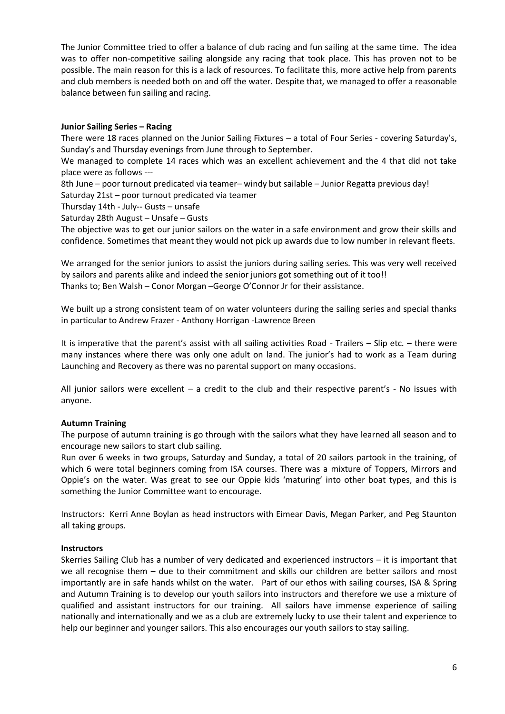The Junior Committee tried to offer a balance of club racing and fun sailing at the same time. The idea was to offer non-competitive sailing alongside any racing that took place. This has proven not to be possible. The main reason for this is a lack of resources. To facilitate this, more active help from parents and club members is needed both on and off the water. Despite that, we managed to offer a reasonable balance between fun sailing and racing.

#### **Junior Sailing Series – Racing**

There were 18 races planned on the Junior Sailing Fixtures – a total of Four Series - covering Saturday's, Sunday's and Thursday evenings from June through to September.

We managed to complete 14 races which was an excellent achievement and the 4 that did not take place were as follows ---

8th June – poor turnout predicated via teamer– windy but sailable – Junior Regatta previous day! Saturday 21st – poor turnout predicated via teamer

Thursday 14th - July-- Gusts – unsafe

Saturday 28th August – Unsafe – Gusts

The objective was to get our junior sailors on the water in a safe environment and grow their skills and confidence. Sometimes that meant they would not pick up awards due to low number in relevant fleets.

We arranged for the senior juniors to assist the juniors during sailing series. This was very well received by sailors and parents alike and indeed the senior juniors got something out of it too!! Thanks to; Ben Walsh – Conor Morgan –George O'Connor Jr for their assistance.

We built up a strong consistent team of on water volunteers during the sailing series and special thanks in particular to Andrew Frazer - Anthony Horrigan -Lawrence Breen

It is imperative that the parent's assist with all sailing activities Road - Trailers – Slip etc. – there were many instances where there was only one adult on land. The junior's had to work as a Team during Launching and Recovery as there was no parental support on many occasions.

All junior sailors were excellent – a credit to the club and their respective parent's - No issues with anyone.

## **Autumn Training**

The purpose of autumn training is go through with the sailors what they have learned all season and to encourage new sailors to start club sailing.

Run over 6 weeks in two groups, Saturday and Sunday, a total of 20 sailors partook in the training, of which 6 were total beginners coming from ISA courses. There was a mixture of Toppers, Mirrors and Oppie's on the water. Was great to see our Oppie kids 'maturing' into other boat types, and this is something the Junior Committee want to encourage.

Instructors: Kerri Anne Boylan as head instructors with Eimear Davis, Megan Parker, and Peg Staunton all taking groups.

#### **Instructors**

Skerries Sailing Club has a number of very dedicated and experienced instructors – it is important that we all recognise them – due to their commitment and skills our children are better sailors and most importantly are in safe hands whilst on the water. Part of our ethos with sailing courses, ISA & Spring and Autumn Training is to develop our youth sailors into instructors and therefore we use a mixture of qualified and assistant instructors for our training. All sailors have immense experience of sailing nationally and internationally and we as a club are extremely lucky to use their talent and experience to help our beginner and younger sailors. This also encourages our youth sailors to stay sailing.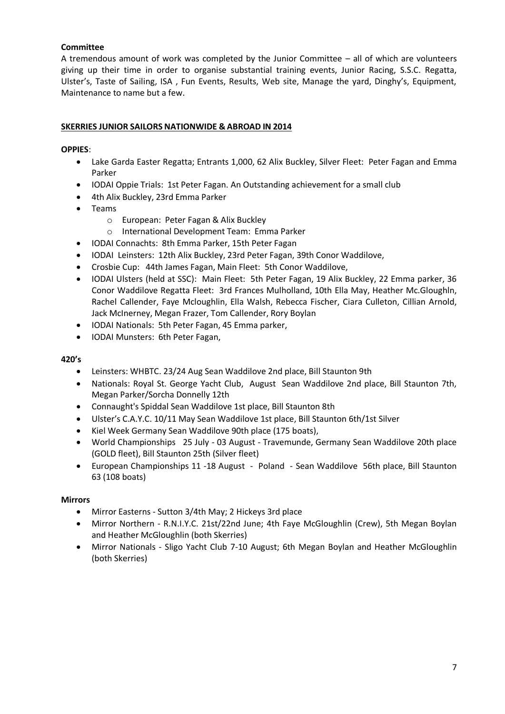## **Committee**

A tremendous amount of work was completed by the Junior Committee – all of which are volunteers giving up their time in order to organise substantial training events, Junior Racing, S.S.C. Regatta, Ulster's, Taste of Sailing, ISA , Fun Events, Results, Web site, Manage the yard, Dinghy's, Equipment, Maintenance to name but a few.

## **SKERRIES JUNIOR SAILORS NATIONWIDE & ABROAD IN 2014**

## **OPPIES**:

- Lake Garda Easter Regatta; Entrants 1,000, 62 Alix Buckley, Silver Fleet: Peter Fagan and Emma Parker
- IODAI Oppie Trials: 1st Peter Fagan. An Outstanding achievement for a small club
- 4th Alix Buckley, 23rd Emma Parker
- Teams
	- o European: Peter Fagan & Alix Buckley
	- o International Development Team: Emma Parker
- IODAI Connachts: 8th Emma Parker, 15th Peter Fagan
- IODAI Leinsters: 12th Alix Buckley, 23rd Peter Fagan, 39th Conor Waddilove,
- Crosbie Cup: 44th James Fagan, Main Fleet: 5th Conor Waddilove,
- IODAI Ulsters (held at SSC): Main Fleet: 5th Peter Fagan, 19 Alix Buckley, 22 Emma parker, 36 Conor Waddilove Regatta Fleet: 3rd Frances Mulholland, 10th Ella May, Heather Mc.Gloughln, Rachel Callender, Faye Mcloughlin, Ella Walsh, Rebecca Fischer, Ciara Culleton, Cillian Arnold, Jack McInerney, Megan Frazer, Tom Callender, Rory Boylan
- IODAI Nationals: 5th Peter Fagan, 45 Emma parker,
- IODAI Munsters: 6th Peter Fagan,

#### **420's**

- Leinsters: WHBTC. 23/24 Aug Sean Waddilove 2nd place, Bill Staunton 9th
- Nationals: Royal St. George Yacht Club, August Sean Waddilove 2nd place, Bill Staunton 7th, Megan Parker/Sorcha Donnelly 12th
- Connaught's Spiddal Sean Waddilove 1st place, Bill Staunton 8th
- Ulster's C.A.Y.C. 10/11 May Sean Waddilove 1st place, Bill Staunton 6th/1st Silver
- Kiel Week Germany Sean Waddilove 90th place (175 boats),
- World Championships 25 July 03 August Travemunde, Germany Sean Waddilove 20th place (GOLD fleet), Bill Staunton 25th (Silver fleet)
- European Championships 11 -18 August Poland Sean Waddilove 56th place, Bill Staunton 63 (108 boats)

## **Mirrors**

- Mirror Easterns Sutton 3/4th May; 2 Hickeys 3rd place
- Mirror Northern R.N.I.Y.C. 21st/22nd June; 4th Faye McGloughlin (Crew), 5th Megan Boylan and Heather McGloughlin (both Skerries)
- Mirror Nationals Sligo Yacht Club 7-10 August; 6th Megan Boylan and Heather McGloughlin (both Skerries)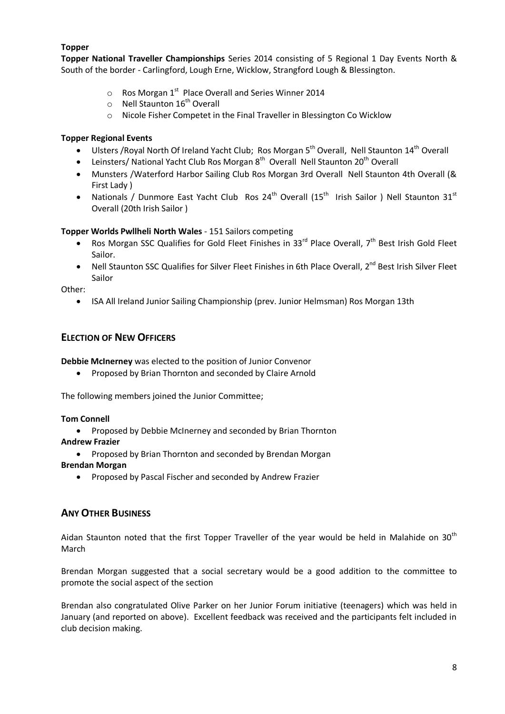## **Topper**

**Topper National Traveller Championships** Series 2014 consisting of 5 Regional 1 Day Events North & South of the border - Carlingford, Lough Erne, Wicklow, Strangford Lough & Blessington.

- $\circ$  Ros Morgan 1<sup>st</sup> Place Overall and Series Winner 2014
- $\circ$  Nell Staunton 16<sup>th</sup> Overall
- o Nicole Fisher Competet in the Final Traveller in Blessington Co Wicklow

## **Topper Regional Events**

- Ulsters / Royal North Of Ireland Yacht Club; Ros Morgan 5<sup>th</sup> Overall, Nell Staunton 14<sup>th</sup> Overall
- Leinsters/ National Yacht Club Ros Morgan 8<sup>th</sup> Overall Nell Staunton 20<sup>th</sup> Overall
- Munsters /Waterford Harbor Sailing Club Ros Morgan 3rd Overall Nell Staunton 4th Overall (& First Lady )
- Nationals / Dunmore East Yacht Club Ros  $24^{th}$  Overall (15<sup>th</sup> Irish Sailor ) Nell Staunton 31<sup>st</sup> Overall (20th Irish Sailor )

## **Topper Worlds Pwllheli North Wales** - 151 Sailors competing

- Ros Morgan SSC Qualifies for Gold Fleet Finishes in 33 $^{\text{rd}}$  Place Overall, 7<sup>th</sup> Best Irish Gold Fleet Sailor.
- Nell Staunton SSC Qualifies for Silver Fleet Finishes in 6th Place Overall, 2<sup>nd</sup> Best Irish Silver Fleet Sailor

Other:

ISA All Ireland Junior Sailing Championship (prev. Junior Helmsman) Ros Morgan 13th

## **ELECTION OF NEW OFFICERS**

**Debbie McInerney** was elected to the position of Junior Convenor

Proposed by Brian Thornton and seconded by Claire Arnold

The following members joined the Junior Committee;

#### **Tom Connell**

- Proposed by Debbie McInerney and seconded by Brian Thornton
- **Andrew Frazier**
	- Proposed by Brian Thornton and seconded by Brendan Morgan

**Brendan Morgan**

Proposed by Pascal Fischer and seconded by Andrew Frazier

## **ANY OTHER BUSINESS**

Aidan Staunton noted that the first Topper Traveller of the year would be held in Malahide on 30<sup>th</sup> March

Brendan Morgan suggested that a social secretary would be a good addition to the committee to promote the social aspect of the section

Brendan also congratulated Olive Parker on her Junior Forum initiative (teenagers) which was held in January (and reported on above). Excellent feedback was received and the participants felt included in club decision making.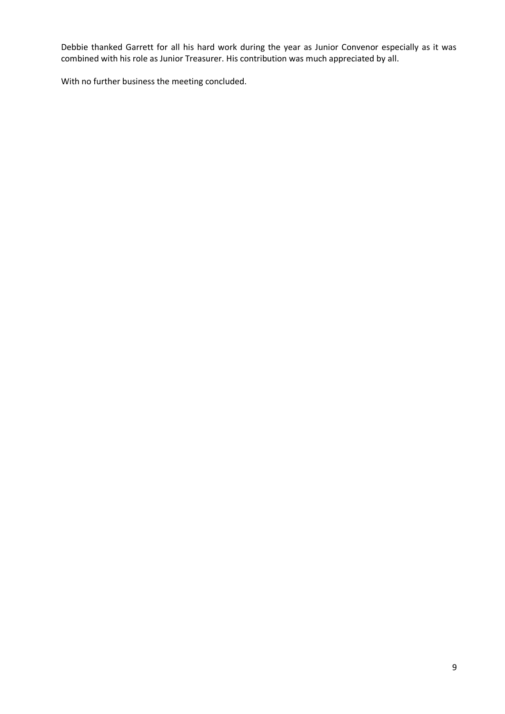Debbie thanked Garrett for all his hard work during the year as Junior Convenor especially as it was combined with his role as Junior Treasurer. His contribution was much appreciated by all.

With no further business the meeting concluded.